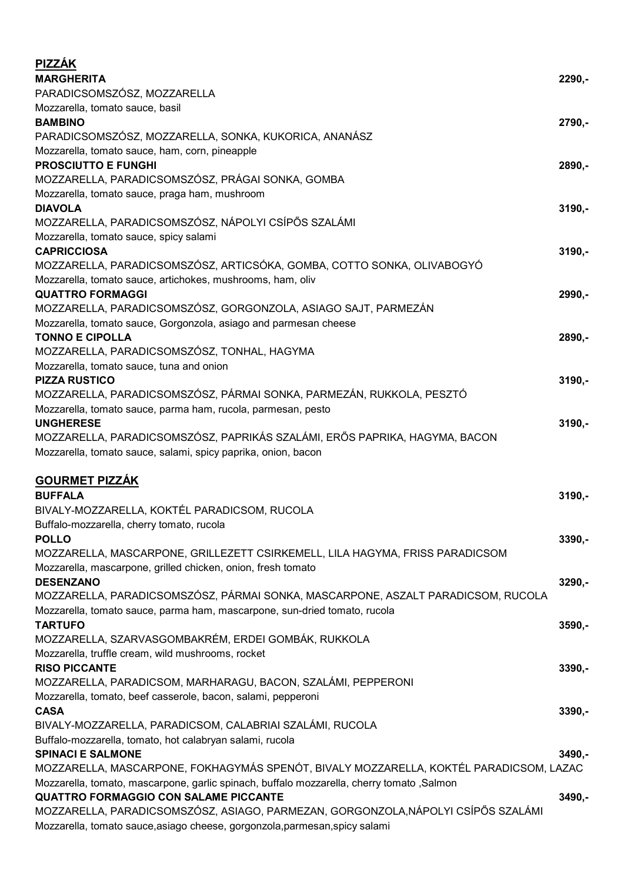| <b>PIZZÁK</b><br><b>MARGHERITA</b><br>PARADICSOMSZÓSZ, MOZZARELLA                                                                                                                                                               | 2290,-   |
|---------------------------------------------------------------------------------------------------------------------------------------------------------------------------------------------------------------------------------|----------|
| Mozzarella, tomato sauce, basil<br><b>BAMBINO</b><br>PARADICSOMSZÓSZ, MOZZARELLA, SONKA, KUKORICA, ANANÁSZ                                                                                                                      | 2790,-   |
| Mozzarella, tomato sauce, ham, corn, pineapple<br><b>PROSCIUTTO E FUNGHI</b><br>MOZZARELLA, PARADICSOMSZÓSZ, PRÁGAI SONKA, GOMBA                                                                                                | 2890,-   |
| Mozzarella, tomato sauce, praga ham, mushroom<br><b>DIAVOLA</b><br>MOZZARELLA, PARADICSOMSZÓSZ, NÁPOLYI CSÍPŐS SZALÁMI                                                                                                          | $3190,-$ |
| Mozzarella, tomato sauce, spicy salami<br><b>CAPRICCIOSA</b>                                                                                                                                                                    | $3190,-$ |
| MOZZARELLA, PARADICSOMSZÓSZ, ARTICSÓKA, GOMBA, COTTO SONKA, OLIVABOGYÓ<br>Mozzarella, tomato sauce, artichokes, mushrooms, ham, oliv<br><b>QUATTRO FORMAGGI</b>                                                                 | 2990,-   |
| MOZZARELLA, PARADICSOMSZÓSZ, GORGONZOLA, ASIAGO SAJT, PARMEZÁN<br>Mozzarella, tomato sauce, Gorgonzola, asiago and parmesan cheese<br><b>TONNO E CIPOLLA</b>                                                                    | 2890,-   |
| MOZZARELLA, PARADICSOMSZÓSZ, TONHAL, HAGYMA<br>Mozzarella, tomato sauce, tuna and onion<br><b>PIZZA RUSTICO</b>                                                                                                                 | $3190,-$ |
| MOZZARELLA, PARADICSOMSZÓSZ, PÁRMAI SONKA, PARMEZÁN, RUKKOLA, PESZTÓ<br>Mozzarella, tomato sauce, parma ham, rucola, parmesan, pesto                                                                                            |          |
| <b>UNGHERESE</b><br>MOZZARELLA, PARADICSOMSZÓSZ, PAPRIKÁS SZALÁMI, ERŐS PAPRIKA, HAGYMA, BACON<br>Mozzarella, tomato sauce, salami, spicy paprika, onion, bacon                                                                 | $3190,-$ |
| <b>GOURMET PIZZÁK</b><br><b>BUFFALA</b><br>BIVALY-MOZZARELLA, KOKTÉL PARADICSOM, RUCOLA                                                                                                                                         | $3190,-$ |
| Buffalo-mozzarella, cherry tomato, rucola<br><b>POLLO</b><br>MOZZARELLA, MASCARPONE, GRILLEZETT CSIRKEMELL, LILA HAGYMA, FRISS PARADICSOM                                                                                       | $3390,-$ |
| Mozzarella, mascarpone, grilled chicken, onion, fresh tomato<br><b>DESENZANO</b><br>MOZZARELLA, PARADICSOMSZÓSZ, PÁRMAI SONKA, MASCARPONE, ASZALT PARADICSOM, RUCOLA                                                            | $3290,-$ |
| Mozzarella, tomato sauce, parma ham, mascarpone, sun-dried tomato, rucola<br><b>TARTUFO</b><br>MOZZARELLA, SZARVASGOMBAKRÉM, ERDEI GOMBÁK, RUKKOLA                                                                              | $3590,-$ |
| Mozzarella, truffle cream, wild mushrooms, rocket<br><b>RISO PICCANTE</b><br>MOZZARELLA, PARADICSOM, MARHARAGU, BACON, SZALÁMI, PEPPERONI                                                                                       | $3390,-$ |
| Mozzarella, tomato, beef casserole, bacon, salami, pepperoni<br><b>CASA</b><br>BIVALY-MOZZARELLA, PARADICSOM, CALABRIAI SZALÁMI, RUCOLA                                                                                         | $3390,-$ |
| Buffalo-mozzarella, tomato, hot calabryan salami, rucola<br><b>SPINACI E SALMONE</b><br>MOZZARELLA, MASCARPONE, FOKHAGYMÁS SPENÓT, BIVALY MOZZARELLA, KOKTÉL PARADICSOM, LAZAC                                                  | $3490 -$ |
| Mozzarella, tomato, mascarpone, garlic spinach, buffalo mozzarella, cherry tomato , Salmon<br><b>QUATTRO FORMAGGIO CON SALAME PICCANTE</b><br>MOZZARELLA, PARADICSOMSZÓSZ, ASIAGO, PARMEZAN, GORGONZOLA, NÁPOLYI CSÍPŐS SZALÁMI | $3490,-$ |
| Mozzarella, tomato sauce, asiago cheese, gorgonzola, parmesan, spicy salami                                                                                                                                                     |          |